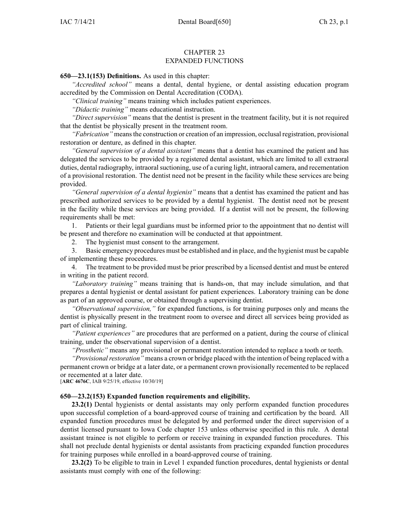### CHAPTER 23 EXPANDED FUNCTIONS

**650—23.1(153) Definitions.** As used in this chapter:

*"Accredited school"* means <sup>a</sup> dental, dental hygiene, or dental assisting education program accredited by the Commission on Dental Accreditation (CODA).

*"Clinical training"* means training which includes patient experiences.

*"Didactic training"* means educational instruction.

*"Direct supervision"* means that the dentist is presen<sup>t</sup> in the treatment facility, but it is not required that the dentist be physically presen<sup>t</sup> in the treatment room.

*"Fabrication"* meansthe construction or creation of an impression, occlusal registration, provisional restoration or denture, as defined in this chapter.

*"General supervision of <sup>a</sup> dental assistant"* means that <sup>a</sup> dentist has examined the patient and has delegated the services to be provided by <sup>a</sup> registered dental assistant, which are limited to all extraoral duties, dental radiography, intraoral suctioning, use of a curing light, intraoral camera, and recementation of <sup>a</sup> provisional restoration. The dentist need not be presen<sup>t</sup> in the facility while these services are being provided.

*"General supervision of <sup>a</sup> dental hygienist"* means that <sup>a</sup> dentist has examined the patient and has prescribed authorized services to be provided by <sup>a</sup> dental hygienist. The dentist need not be presen<sup>t</sup> in the facility while these services are being provided. If <sup>a</sup> dentist will not be present, the following requirements shall be met:

1. Patients or their legal guardians must be informed prior to the appointment that no dentist will be presen<sup>t</sup> and therefore no examination will be conducted at that appointment.

2. The hygienist must consent to the arrangement.

3. Basic emergency procedures must be established and in place, and the hygienist must be capable of implementing these procedures.

4. The treatment to be provided must be prior prescribed by <sup>a</sup> licensed dentist and must be entered in writing in the patient record.

*"Laboratory training"* means training that is hands-on, that may include simulation, and that prepares <sup>a</sup> dental hygienist or dental assistant for patient experiences. Laboratory training can be done as par<sup>t</sup> of an approved course, or obtained through <sup>a</sup> supervising dentist.

*"Observational supervision,"* for expanded functions, is for training purposes only and means the dentist is physically presen<sup>t</sup> in the treatment room to oversee and direct all services being provided as par<sup>t</sup> of clinical training.

*"Patient experiences"* are procedures that are performed on <sup>a</sup> patient, during the course of clinical training, under the observational supervision of <sup>a</sup> dentist.

*"Prosthetic"* means any provisional or permanen<sup>t</sup> restoration intended to replace <sup>a</sup> tooth or teeth.

*"Provisional restoration"* means a crown or bridge placed with the intention of being replaced with a permanen<sup>t</sup> crown or bridge at <sup>a</sup> later date, or <sup>a</sup> permanen<sup>t</sup> crown provisionally recemented to be replaced or recemented at <sup>a</sup> later date.

[**ARC [4676C](https://www.legis.iowa.gov/docs/aco/arc/4676C.pdf)**, IAB 9/25/19, effective 10/30/19]

### **650—23.2(153) Expanded function requirements and eligibility.**

**23.2(1)** Dental hygienists or dental assistants may only perform expanded function procedures upon successful completion of <sup>a</sup> board-approved course of training and certification by the board. All expanded function procedures must be delegated by and performed under the direct supervision of <sup>a</sup> dentist licensed pursuan<sup>t</sup> to Iowa Code chapter [153](https://www.legis.iowa.gov/docs/ico/chapter/153.pdf) unless otherwise specified in this rule. A dental assistant trainee is not eligible to perform or receive training in expanded function procedures. This shall not preclude dental hygienists or dental assistants from practicing expanded function procedures for training purposes while enrolled in <sup>a</sup> board-approved course of training.

**23.2(2)** To be eligible to train in Level 1 expanded function procedures, dental hygienists or dental assistants must comply with one of the following: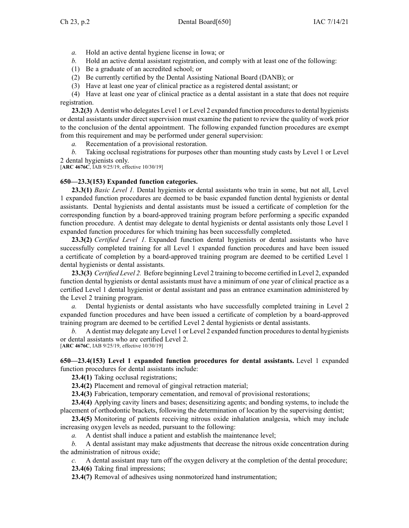- *a.* Hold an active dental hygiene license in Iowa; or
- *b.* Hold an active dental assistant registration, and comply with at least one of the following:
- (1) Be <sup>a</sup> graduate of an accredited school; or
- (2) Be currently certified by the Dental Assisting National Board (DANB); or
- (3) Have at least one year of clinical practice as <sup>a</sup> registered dental assistant; or

(4) Have at least one year of clinical practice as <sup>a</sup> dental assistant in <sup>a</sup> state that does not require registration.

**23.2(3)** A dentist who delegates Level 1 or Level 2 expanded function procedures to dental hygienists or dental assistants under direct supervision must examine the patient to review the quality of work prior to the conclusion of the dental appointment. The following expanded function procedures are exemp<sup>t</sup> from this requirement and may be performed under general supervision:

*a.* Recementation of <sup>a</sup> provisional restoration.

*b.* Taking occlusal registrations for purposes other than mounting study casts by Level 1 or Level 2 dental hygienists only.

[**ARC [4676C](https://www.legis.iowa.gov/docs/aco/arc/4676C.pdf)**, IAB 9/25/19, effective 10/30/19]

# **650—23.3(153) Expanded function categories.**

**23.3(1)** *Basic Level 1.* Dental hygienists or dental assistants who train in some, but not all, Level 1 expanded function procedures are deemed to be basic expanded function dental hygienists or dental assistants. Dental hygienists and dental assistants must be issued <sup>a</sup> certificate of completion for the corresponding function by <sup>a</sup> board-approved training program before performing <sup>a</sup> specific expanded function procedure. A dentist may delegate to dental hygienists or dental assistants only those Level 1 expanded function procedures for which training has been successfully completed.

**23.3(2)** *Certified Level 1.* Expanded function dental hygienists or dental assistants who have successfully completed training for all Level 1 expanded function procedures and have been issued <sup>a</sup> certificate of completion by <sup>a</sup> board-approved training program are deemed to be certified Level 1 dental hygienists or dental assistants.

**23.3(3)** *Certified Level 2.* Before beginning Level 2 training to become certified in Level 2, expanded function dental hygienists or dental assistants must have <sup>a</sup> minimum of one year of clinical practice as <sup>a</sup> certified Level 1 dental hygienist or dental assistant and pass an entrance examination administered by the Level 2 training program.

*a.* Dental hygienists or dental assistants who have successfully completed training in Level 2 expanded function procedures and have been issued <sup>a</sup> certificate of completion by <sup>a</sup> board-approved training program are deemed to be certified Level 2 dental hygienists or dental assistants.

*b.* A dentist may delegate any Level 1 or Level 2 expanded function procedures to dental hygienists or dental assistants who are certified Level 2. [**ARC [4676C](https://www.legis.iowa.gov/docs/aco/arc/4676C.pdf)**, IAB 9/25/19, effective 10/30/19]

**650—23.4(153) Level 1 expanded function procedures for dental assistants.** Level 1 expanded function procedures for dental assistants include:

**23.4(1)** Taking occlusal registrations;

**23.4(2)** Placement and removal of gingival retraction material;

**23.4(3)** Fabrication, temporary cementation, and removal of provisional restorations;

**23.4(4)** Applying cavity liners and bases; desensitizing agents; and bonding systems, to include the placement of orthodontic brackets, following the determination of location by the supervising dentist;

**23.4(5)** Monitoring of patients receiving nitrous oxide inhalation analgesia, which may include increasing oxygen levels as needed, pursuan<sup>t</sup> to the following:

*a.* A dentist shall induce <sup>a</sup> patient and establish the maintenance level;

*b.* A dental assistant may make adjustments that decrease the nitrous oxide concentration during the administration of nitrous oxide;

*c.* A dental assistant may turn off the oxygen delivery at the completion of the dental procedure; **23.4(6)** Taking final impressions;

**23.4(7)** Removal of adhesives using nonmotorized hand instrumentation;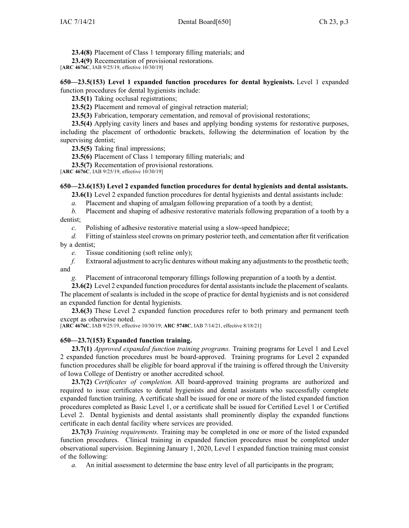**23.4(8)** Placement of Class 1 temporary filling materials; and

**23.4(9)** Recementation of provisional restorations.

[**ARC [4676C](https://www.legis.iowa.gov/docs/aco/arc/4676C.pdf)**, IAB 9/25/19, effective 10/30/19]

**650—23.5(153) Level 1 expanded function procedures for dental hygienists.** Level 1 expanded function procedures for dental hygienists include:

**23.5(1)** Taking occlusal registrations;

**23.5(2)** Placement and removal of gingival retraction material;

**23.5(3)** Fabrication, temporary cementation, and removal of provisional restorations;

**23.5(4)** Applying cavity liners and bases and applying bonding systems for restorative purposes, including the placement of orthodontic brackets, following the determination of location by the supervising dentist;

**23.5(5)** Taking final impressions;

**23.5(6)** Placement of Class 1 temporary filling materials; and

**23.5(7)** Recementation of provisional restorations.

[**ARC [4676C](https://www.legis.iowa.gov/docs/aco/arc/4676C.pdf)**, IAB 9/25/19, effective 10/30/19]

# **650—23.6(153) Level 2 expanded function procedures for dental hygienists and dental assistants.**

**23.6(1)** Level 2 expanded function procedures for dental hygienists and dental assistants include:

*a.* Placement and shaping of amalgam following preparation of <sup>a</sup> tooth by <sup>a</sup> dentist;

*b.* Placement and shaping of adhesive restorative materials following preparation of <sup>a</sup> tooth by <sup>a</sup> dentist;

*c.* Polishing of adhesive restorative material using <sup>a</sup> slow-speed handpiece;

*d.* Fitting of stainless steel crowns on primary posterior teeth, and cementation after fit verification by <sup>a</sup> dentist;

*e.* Tissue conditioning (soft reline only);

*f.* Extraoral adjustment to acrylic dentures without making any adjustments to the prosthetic teeth; and

*g.* Placement of intracoronal temporary fillings following preparation of <sup>a</sup> tooth by <sup>a</sup> dentist.

**23.6(2)** Level 2 expanded function procedures for dental assistants include the placement of sealants. The placement of sealants is included in the scope of practice for dental hygienists and is not considered an expanded function for dental hygienists.

**23.6(3)** These Level 2 expanded function procedures refer to both primary and permanen<sup>t</sup> teeth excep<sup>t</sup> as otherwise noted.

[**ARC [4676C](https://www.legis.iowa.gov/docs/aco/arc/4676C.pdf)**, IAB 9/25/19, effective 10/30/19; **ARC [5748C](https://www.legis.iowa.gov/docs/aco/arc/5748C.pdf)**, IAB 7/14/21, effective 8/18/21]

# **650—23.7(153) Expanded function training.**

**23.7(1)** *Approved expanded function training programs.* Training programs for Level 1 and Level 2 expanded function procedures must be board-approved. Training programs for Level 2 expanded function procedures shall be eligible for board approval if the training is offered through the University of Iowa College of Dentistry or another accredited school.

**23.7(2)** *Certificates of completion.* All board-approved training programs are authorized and required to issue certificates to dental hygienists and dental assistants who successfully complete expanded function training. A certificate shall be issued for one or more of the listed expanded function procedures completed as Basic Level 1, or <sup>a</sup> certificate shall be issued for Certified Level 1 or Certified Level 2. Dental hygienists and dental assistants shall prominently display the expanded functions certificate in each dental facility where services are provided.

**23.7(3)** *Training requirements.* Training may be completed in one or more of the listed expanded function procedures. Clinical training in expanded function procedures must be completed under observational supervision. Beginning January 1, 2020, Level 1 expanded function training must consist of the following:

*a.* An initial assessment to determine the base entry level of all participants in the program;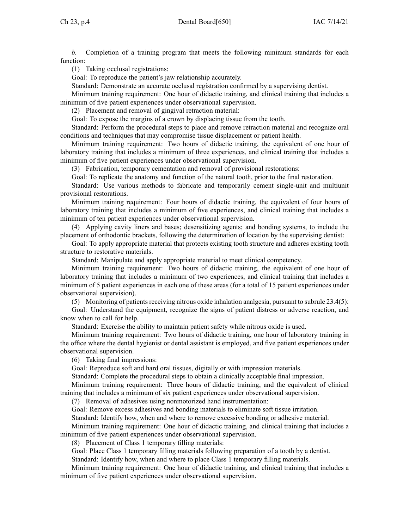*b.* Completion of <sup>a</sup> training program that meets the following minimum standards for each function:

(1) Taking occlusal registrations:

Goal: To reproduce the patient's jaw relationship accurately.

Standard: Demonstrate an accurate occlusal registration confirmed by <sup>a</sup> supervising dentist.

Minimum training requirement: One hour of didactic training, and clinical training that includes <sup>a</sup> minimum of five patient experiences under observational supervision.

(2) Placement and removal of gingival retraction material:

Goal: To expose the margins of <sup>a</sup> crown by displacing tissue from the tooth.

Standard: Perform the procedural steps to place and remove retraction material and recognize oral conditions and techniques that may compromise tissue displacement or patient health.

Minimum training requirement: Two hours of didactic training, the equivalent of one hour of laboratory training that includes <sup>a</sup> minimum of three experiences, and clinical training that includes <sup>a</sup> minimum of five patient experiences under observational supervision.

(3) Fabrication, temporary cementation and removal of provisional restorations:

Goal: To replicate the anatomy and function of the natural tooth, prior to the final restoration.

Standard: Use various methods to fabricate and temporarily cement single-unit and multiunit provisional restorations.

Minimum training requirement: Four hours of didactic training, the equivalent of four hours of laboratory training that includes <sup>a</sup> minimum of five experiences, and clinical training that includes <sup>a</sup> minimum of ten patient experiences under observational supervision.

(4) Applying cavity liners and bases; desensitizing agents; and bonding systems, to include the placement of orthodontic brackets, following the determination of location by the supervising dentist:

Goal: To apply appropriate material that protects existing tooth structure and adheres existing tooth structure to restorative materials.

Standard: Manipulate and apply appropriate material to meet clinical competency.

Minimum training requirement: Two hours of didactic training, the equivalent of one hour of laboratory training that includes <sup>a</sup> minimum of two experiences, and clinical training that includes <sup>a</sup> minimum of 5 patient experiences in each one of these areas (for <sup>a</sup> total of 15 patient experiences under observational supervision).

(5) Monitoring of patients receiving nitrous oxide inhalation analgesia, pursuant to subrule  $(23.4(5))$  $(23.4(5))$  $(23.4(5))$ :

Goal: Understand the equipment, recognize the signs of patient distress or adverse reaction, and know when to call for help.

Standard: Exercise the ability to maintain patient safety while nitrous oxide is used.

Minimum training requirement: Two hours of didactic training, one hour of laboratory training in the office where the dental hygienist or dental assistant is employed, and five patient experiences under observational supervision.

(6) Taking final impressions:

Goal: Reproduce soft and hard oral tissues, digitally or with impression materials.

Standard: Complete the procedural steps to obtain <sup>a</sup> clinically acceptable final impression.

Minimum training requirement: Three hours of didactic training, and the equivalent of clinical training that includes <sup>a</sup> minimum of six patient experiences under observational supervision.

(7) Removal of adhesives using nonmotorized hand instrumentation:

Goal: Remove excess adhesives and bonding materials to eliminate soft tissue irritation.

Standard: Identify how, when and where to remove excessive bonding or adhesive material.

Minimum training requirement: One hour of didactic training, and clinical training that includes <sup>a</sup> minimum of five patient experiences under observational supervision.

(8) Placement of Class 1 temporary filling materials:

Goal: Place Class 1 temporary filling materials following preparation of <sup>a</sup> tooth by <sup>a</sup> dentist. Standard: Identify how, when and where to place Class 1 temporary filling materials.

Minimum training requirement: One hour of didactic training, and clinical training that includes <sup>a</sup> minimum of five patient experiences under observational supervision.